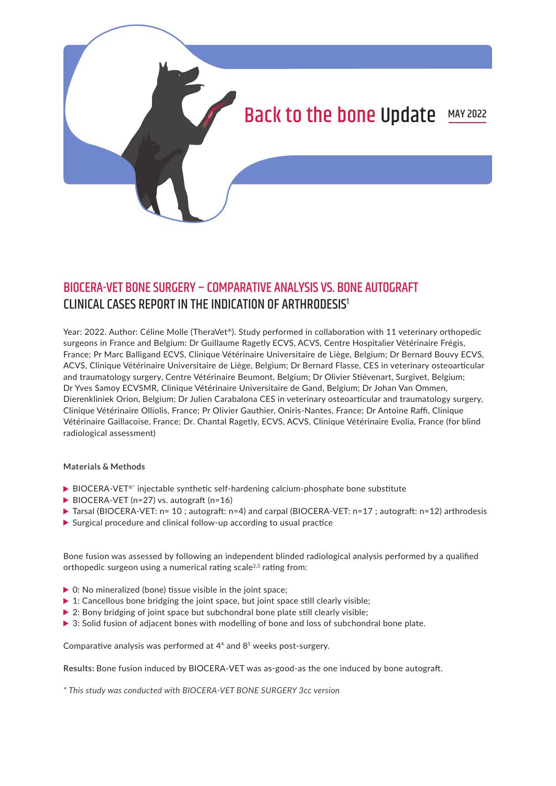

# BIOCERA-VET BONE SURGERY – COMPARATIVE ANALYSIS VS. BONE AUTOGRAFT CLINICAL CASES REPORT IN THE INDICATION OF ARTHRODESIS1

Year: 2022. Author: Céline Molle (TheraVet®). Study performed in collaboration with 11 veterinary orthopedic surgeons in France and Belgium: Dr Guillaume Ragetly ECVS, ACVS, Centre Hospitalier Vétérinaire Frégis, France; Pr Marc Balligand ECVS, Clinique Vétérinaire Universitaire de Liège, Belgium; Dr Bernard Bouvy ECVS, ACVS, Clinique Vétérinaire Universitaire de Liège, Belgium; Dr Bernard Flasse, CES in veterinary osteoarticular and traumatology surgery, Centre Vétérinaire Beumont, Belgium; Dr Olivier Stiévenart, Surgivet, Belgium; Dr Yves Samoy ECVSMR, Clinique Vétérinaire Universitaire de Gand, Belgium; Dr Johan Van Ommen, Dierenkliniek Orion, Belgium; Dr Julien Carabalona CES in veterinary osteoarticular and traumatology surgery, Clinique Vétérinaire Olliolis, France; Pr Olivier Gauthier, Oniris-Nantes, France; Dr Antoine Raffi, Clinique Vétérinaire Gaillacoise, France; Dr. Chantal Ragetly, ECVS, ACVS, Clinique Vétérinaire Evolia, France (for blind radiological assessment)

### **Materials & Methods**

- ▶ BIOCERA-VET<sup>®\*</sup> injectable synthetic self-hardening calcium-phosphate bone substitute
- BIOCERA-VET (n=27) vs. autograft (n=16)
- ▶ Tarsal (BIOCERA-VET: n= 10; autograft: n=4) and carpal (BIOCERA-VET: n=17; autograft: n=12) arthrodesis
- Surgical procedure and clinical follow-up according to usual practice

Bone fusion was assessed by following an independent blinded radiological analysis performed by a qualified orthopedic surgeon using a numerical rating scale<sup>2,3</sup> rating from:

- $\triangleright$  0: No mineralized (bone) tissue visible in the joint space;
- $\triangleright$  1: Cancellous bone bridging the joint space, but joint space still clearly visible;
- ▶ 2: Bony bridging of joint space but subchondral bone plate still clearly visible;
- ▶ 3: Solid fusion of adjacent bones with modelling of bone and loss of subchondral bone plate.

Comparative analysis was performed at 44 and 85 weeks post-surgery.

**Results:** Bone fusion induced by BIOCERA-VET was as-good-as the one induced by bone autograft.

*\* This study was conducted with BIOCERA-VET BONE SURGERY 3cc version*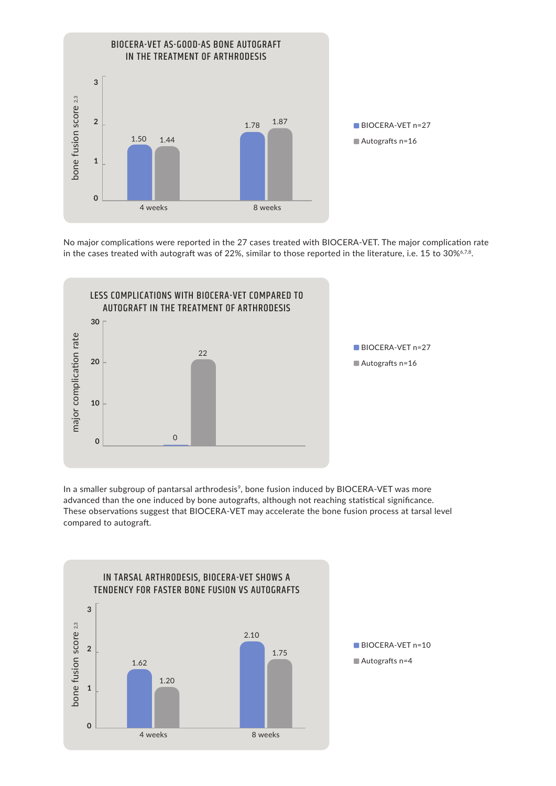

No major complications were reported in the 27 cases treated with BIOCERA-VET. The major complication rate



In a smaller subgroup of pantarsal arthrodesis<sup>9</sup>, bone fusion induced by BIOCERA-VET was more advanced than the one induced by bone autografts, although not reaching statistical significance. These observations suggest that BIOCERA-VET may accelerate the bone fusion process at tarsal level compared to autograft.